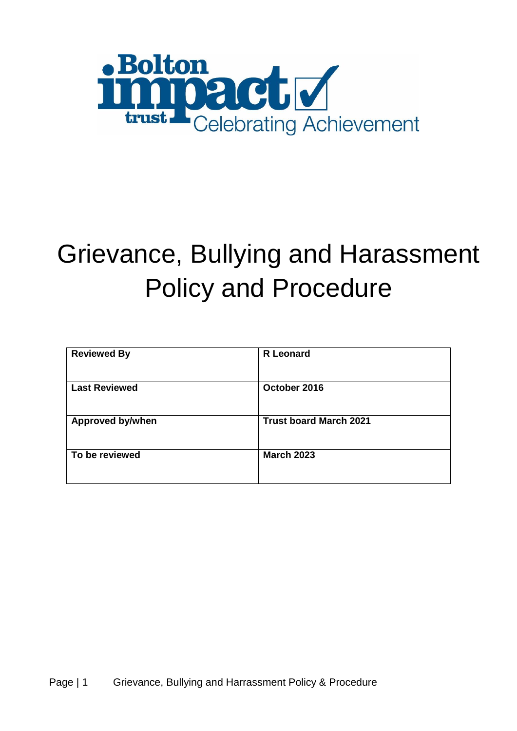

# Grievance, Bullying and Harassment Policy and Procedure

| <b>Reviewed By</b>      | <b>R</b> Leonard              |
|-------------------------|-------------------------------|
| <b>Last Reviewed</b>    | October 2016                  |
| <b>Approved by/when</b> | <b>Trust board March 2021</b> |
| To be reviewed          | <b>March 2023</b>             |
|                         |                               |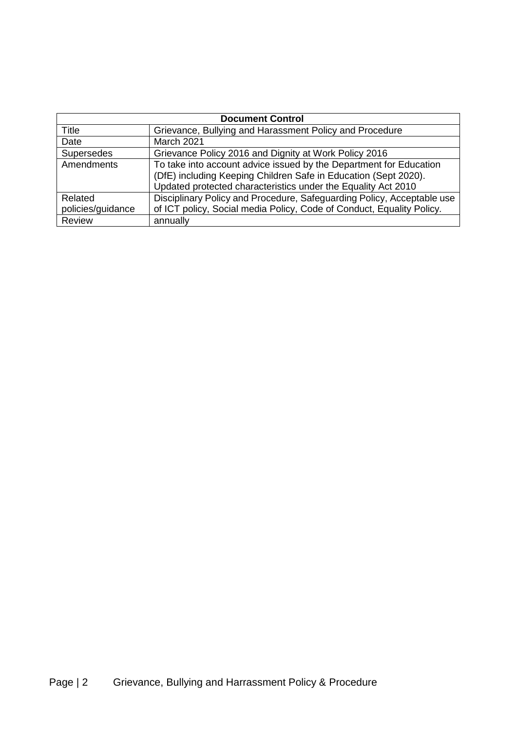| <b>Document Control</b> |                                                                        |  |
|-------------------------|------------------------------------------------------------------------|--|
| <b>Title</b>            | Grievance, Bullying and Harassment Policy and Procedure                |  |
| Date                    | March 2021                                                             |  |
| <b>Supersedes</b>       | Grievance Policy 2016 and Dignity at Work Policy 2016                  |  |
| Amendments              | To take into account advice issued by the Department for Education     |  |
|                         | (DfE) including Keeping Children Safe in Education (Sept 2020).        |  |
|                         | Updated protected characteristics under the Equality Act 2010          |  |
| Related                 | Disciplinary Policy and Procedure, Safeguarding Policy, Acceptable use |  |
| policies/guidance       | of ICT policy, Social media Policy, Code of Conduct, Equality Policy.  |  |
| <b>Review</b>           | annually                                                               |  |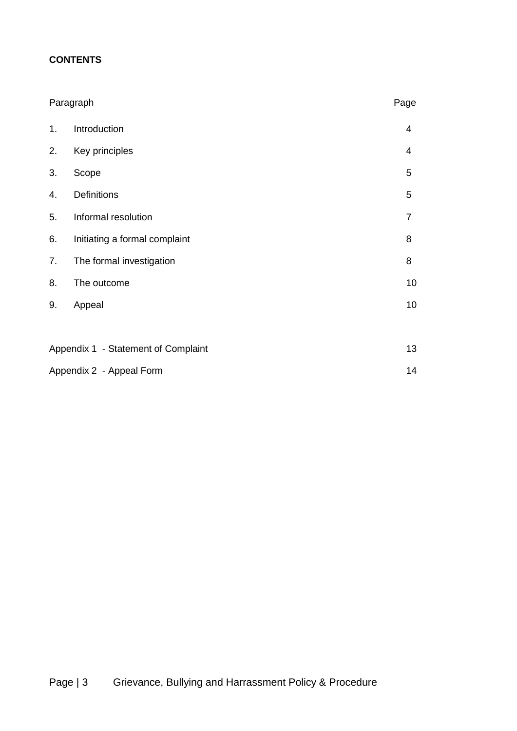# **CONTENTS**

|    | Paragraph                           | Page           |
|----|-------------------------------------|----------------|
| 1. | Introduction                        | $\overline{4}$ |
| 2. | Key principles                      | 4              |
| 3. | Scope                               | 5              |
| 4. | <b>Definitions</b>                  | 5              |
| 5. | Informal resolution                 | $\overline{7}$ |
| 6. | Initiating a formal complaint       | 8              |
| 7. | The formal investigation            | 8              |
| 8. | The outcome                         | 10             |
| 9. | Appeal                              | 10             |
|    |                                     |                |
|    | Appendix 1 - Statement of Complaint |                |
|    | Appendix 2 - Appeal Form            |                |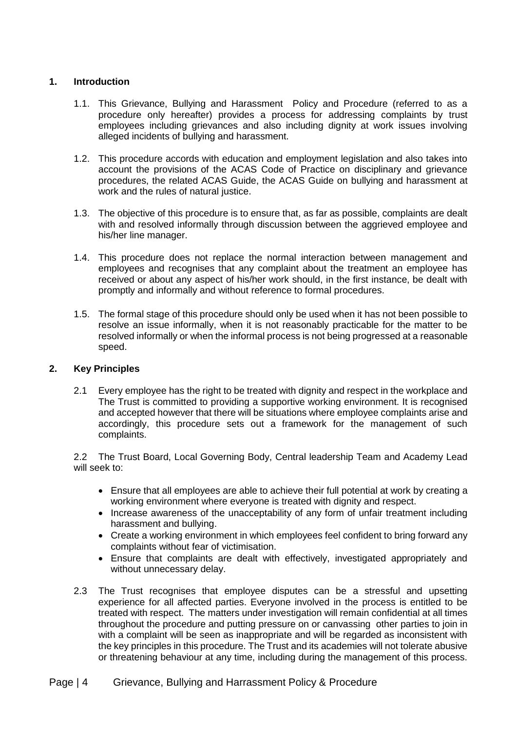#### **1. Introduction**

- 1.1. This Grievance, Bullying and Harassment Policy and Procedure (referred to as a procedure only hereafter) provides a process for addressing complaints by trust employees including grievances and also including dignity at work issues involving alleged incidents of bullying and harassment.
- 1.2. This procedure accords with education and employment legislation and also takes into account the provisions of the ACAS Code of Practice on disciplinary and grievance procedures, the related ACAS Guide, the ACAS Guide on bullying and harassment at work and the rules of natural justice.
- 1.3. The objective of this procedure is to ensure that, as far as possible, complaints are dealt with and resolved informally through discussion between the aggrieved employee and his/her line manager.
- 1.4. This procedure does not replace the normal interaction between management and employees and recognises that any complaint about the treatment an employee has received or about any aspect of his/her work should, in the first instance, be dealt with promptly and informally and without reference to formal procedures.
- 1.5. The formal stage of this procedure should only be used when it has not been possible to resolve an issue informally, when it is not reasonably practicable for the matter to be resolved informally or when the informal process is not being progressed at a reasonable speed.

#### **2. Key Principles**

2.1 Every employee has the right to be treated with dignity and respect in the workplace and The Trust is committed to providing a supportive working environment. It is recognised and accepted however that there will be situations where employee complaints arise and accordingly, this procedure sets out a framework for the management of such complaints.

2.2 The Trust Board, Local Governing Body, Central leadership Team and Academy Lead will seek to:

- Ensure that all employees are able to achieve their full potential at work by creating a working environment where everyone is treated with dignity and respect.
- Increase awareness of the unacceptability of any form of unfair treatment including harassment and bullying.
- Create a working environment in which employees feel confident to bring forward any complaints without fear of victimisation.
- Ensure that complaints are dealt with effectively, investigated appropriately and without unnecessary delay.
- 2.3 The Trust recognises that employee disputes can be a stressful and upsetting experience for all affected parties. Everyone involved in the process is entitled to be treated with respect. The matters under investigation will remain confidential at all times throughout the procedure and putting pressure on or canvassing other parties to join in with a complaint will be seen as inappropriate and will be regarded as inconsistent with the key principles in this procedure. The Trust and its academies will not tolerate abusive or threatening behaviour at any time, including during the management of this process.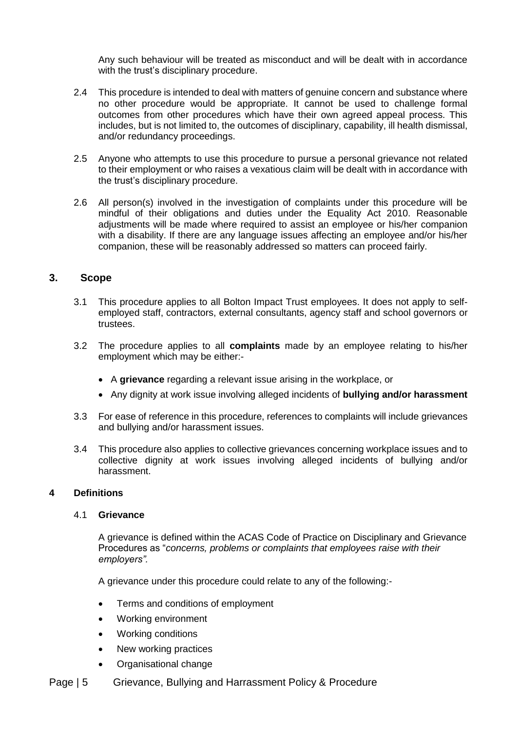Any such behaviour will be treated as misconduct and will be dealt with in accordance with the trust's disciplinary procedure.

- 2.4 This procedure is intended to deal with matters of genuine concern and substance where no other procedure would be appropriate. It cannot be used to challenge formal outcomes from other procedures which have their own agreed appeal process. This includes, but is not limited to, the outcomes of disciplinary, capability, ill health dismissal, and/or redundancy proceedings.
- 2.5 Anyone who attempts to use this procedure to pursue a personal grievance not related to their employment or who raises a vexatious claim will be dealt with in accordance with the trust's disciplinary procedure.
- 2.6 All person(s) involved in the investigation of complaints under this procedure will be mindful of their obligations and duties under the Equality Act 2010. Reasonable adjustments will be made where required to assist an employee or his/her companion with a disability. If there are any language issues affecting an employee and/or his/her companion, these will be reasonably addressed so matters can proceed fairly.

### **3. Scope**

- 3.1 This procedure applies to all Bolton Impact Trust employees. It does not apply to selfemployed staff, contractors, external consultants, agency staff and school governors or trustees.
- 3.2 The procedure applies to all **complaints** made by an employee relating to his/her employment which may be either:-
	- A **grievance** regarding a relevant issue arising in the workplace, or
	- Any dignity at work issue involving alleged incidents of **bullying and/or harassment**
- 3.3 For ease of reference in this procedure, references to complaints will include grievances and bullying and/or harassment issues.
- 3.4 This procedure also applies to collective grievances concerning workplace issues and to collective dignity at work issues involving alleged incidents of bullying and/or harassment.

#### **4 Definitions**

#### 4.1 **Grievance**

A grievance is defined within the ACAS Code of Practice on Disciplinary and Grievance Procedures as "*concerns, problems or complaints that employees raise with their employers".*

A grievance under this procedure could relate to any of the following:-

- Terms and conditions of employment
- Working environment
- Working conditions
- New working practices
- Organisational change
- Page | 5 Grievance, Bullying and Harrassment Policy & Procedure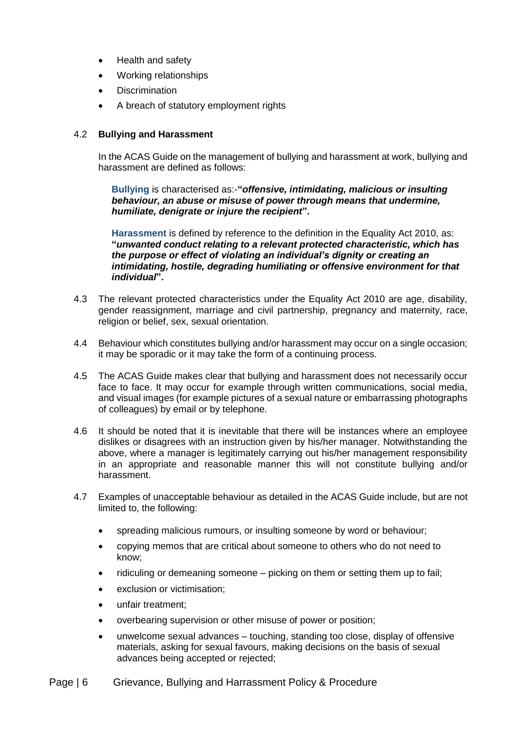- Health and safety
- Working relationships
- **Discrimination**
- A breach of statutory employment rights

#### 4.2 **Bullying and Harassment**

In the ACAS Guide on the management of bullying and harassment at work, bullying and harassment are defined as follows:

**Bullying** is characterised as:-**"***offensive, intimidating, malicious or insulting behaviour, an abuse or misuse of power through means that undermine, humiliate, denigrate or injure the recipient***".**

**Harassment** is defined by reference to the definition in the Equality Act 2010, as: **"***unwanted conduct relating to a relevant protected characteristic, which has the purpose or effect of violating an individual's dignity or creating an intimidating, hostile, degrading humiliating or offensive environment for that individual***".**

- 4.3 The relevant protected characteristics under the Equality Act 2010 are age, disability, gender reassignment, marriage and civil partnership, pregnancy and maternity, race, religion or belief, sex, sexual orientation.
- 4.4 Behaviour which constitutes bullying and/or harassment may occur on a single occasion; it may be sporadic or it may take the form of a continuing process.
- 4.5 The ACAS Guide makes clear that bullying and harassment does not necessarily occur face to face. It may occur for example through written communications, social media, and visual images (for example pictures of a sexual nature or embarrassing photographs of colleagues) by email or by telephone.
- 4.6 It should be noted that it is inevitable that there will be instances where an employee dislikes or disagrees with an instruction given by his/her manager. Notwithstanding the above, where a manager is legitimately carrying out his/her management responsibility in an appropriate and reasonable manner this will not constitute bullying and/or harassment.
- 4.7 Examples of unacceptable behaviour as detailed in the ACAS Guide include, but are not limited to, the following:
	- spreading malicious rumours, or insulting someone by word or behaviour;
	- copying memos that are critical about someone to others who do not need to know;
	- ridiculing or demeaning someone picking on them or setting them up to fail;
	- exclusion or victimisation;
	- unfair treatment;
	- overbearing supervision or other misuse of power or position;
	- unwelcome sexual advances touching, standing too close, display of offensive materials, asking for sexual favours, making decisions on the basis of sexual advances being accepted or rejected;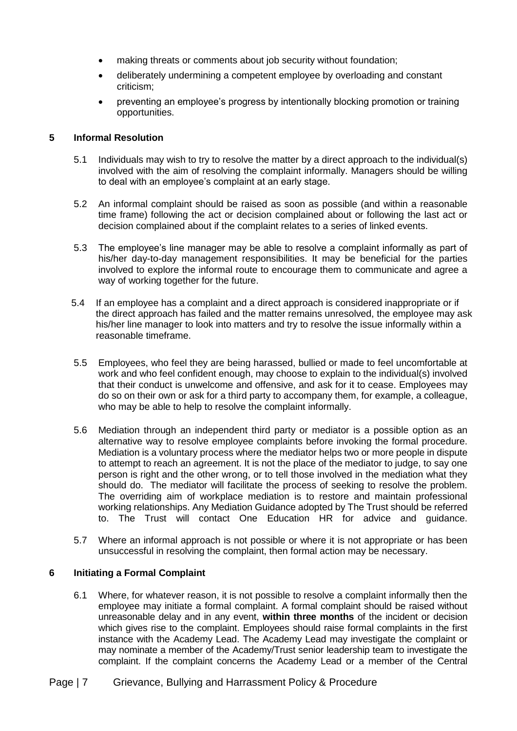- making threats or comments about job security without foundation;
- deliberately undermining a competent employee by overloading and constant criticism;
- preventing an employee's progress by intentionally blocking promotion or training opportunities.

#### **5 Informal Resolution**

- 5.1 Individuals may wish to try to resolve the matter by a direct approach to the individual(s) involved with the aim of resolving the complaint informally. Managers should be willing to deal with an employee's complaint at an early stage.
- 5.2 An informal complaint should be raised as soon as possible (and within a reasonable time frame) following the act or decision complained about or following the last act or decision complained about if the complaint relates to a series of linked events.
- 5.3 The employee's line manager may be able to resolve a complaint informally as part of his/her day-to-day management responsibilities. It may be beneficial for the parties involved to explore the informal route to encourage them to communicate and agree a way of working together for the future.
- 5.4 If an employee has a complaint and a direct approach is considered inappropriate or if the direct approach has failed and the matter remains unresolved, the employee may ask his/her line manager to look into matters and try to resolve the issue informally within a reasonable timeframe.
- 5.5 Employees, who feel they are being harassed, bullied or made to feel uncomfortable at work and who feel confident enough, may choose to explain to the individual(s) involved that their conduct is unwelcome and offensive, and ask for it to cease. Employees may do so on their own or ask for a third party to accompany them, for example, a colleague, who may be able to help to resolve the complaint informally.
- 5.6 Mediation through an independent third party or mediator is a possible option as an alternative way to resolve employee complaints before invoking the formal procedure. Mediation is a voluntary process where the mediator helps two or more people in dispute to attempt to reach an agreement. It is not the place of the mediator to judge, to say one person is right and the other wrong, or to tell those involved in the mediation what they should do. The mediator will facilitate the process of seeking to resolve the problem. The overriding aim of workplace mediation is to restore and maintain professional working relationships. Any Mediation Guidance adopted by The Trust should be referred to. The Trust will contact One Education HR for advice and guidance.
- 5.7 Where an informal approach is not possible or where it is not appropriate or has been unsuccessful in resolving the complaint, then formal action may be necessary.

#### **6 Initiating a Formal Complaint**

6.1 Where, for whatever reason, it is not possible to resolve a complaint informally then the employee may initiate a formal complaint. A formal complaint should be raised without unreasonable delay and in any event, **within three months** of the incident or decision which gives rise to the complaint. Employees should raise formal complaints in the first instance with the Academy Lead. The Academy Lead may investigate the complaint or may nominate a member of the Academy/Trust senior leadership team to investigate the complaint. If the complaint concerns the Academy Lead or a member of the Central

## Page | 7 Grievance, Bullying and Harrassment Policy & Procedure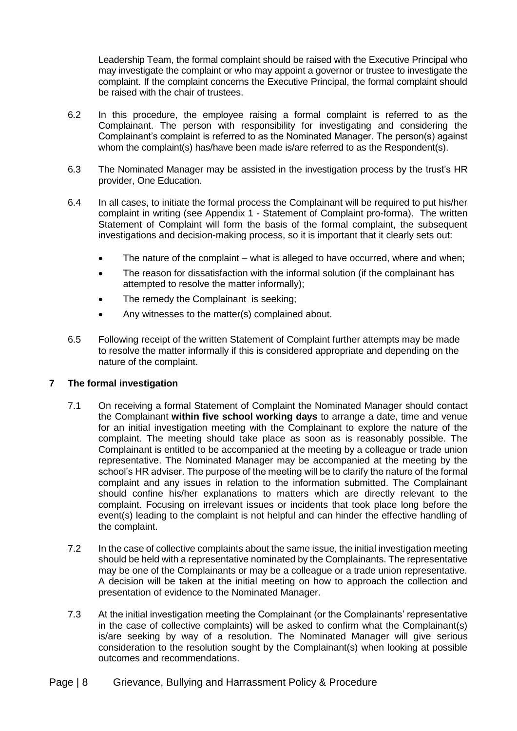Leadership Team, the formal complaint should be raised with the Executive Principal who may investigate the complaint or who may appoint a governor or trustee to investigate the complaint. If the complaint concerns the Executive Principal, the formal complaint should be raised with the chair of trustees.

- 6.2 In this procedure, the employee raising a formal complaint is referred to as the Complainant. The person with responsibility for investigating and considering the Complainant's complaint is referred to as the Nominated Manager. The person(s) against whom the complaint(s) has/have been made is/are referred to as the Respondent(s).
- 6.3 The Nominated Manager may be assisted in the investigation process by the trust's HR provider, One Education.
- 6.4 In all cases, to initiate the formal process the Complainant will be required to put his/her complaint in writing (see Appendix 1 - Statement of Complaint pro-forma). The written Statement of Complaint will form the basis of the formal complaint, the subsequent investigations and decision-making process, so it is important that it clearly sets out:
	- The nature of the complaint what is alleged to have occurred, where and when;
	- The reason for dissatisfaction with the informal solution (if the complainant has attempted to resolve the matter informally);
	- The remedy the Complainant is seeking;
	- Any witnesses to the matter(s) complained about.
- 6.5 Following receipt of the written Statement of Complaint further attempts may be made to resolve the matter informally if this is considered appropriate and depending on the nature of the complaint.

#### **7 The formal investigation**

- 7.1 On receiving a formal Statement of Complaint the Nominated Manager should contact the Complainant **within five school working days** to arrange a date, time and venue for an initial investigation meeting with the Complainant to explore the nature of the complaint. The meeting should take place as soon as is reasonably possible. The Complainant is entitled to be accompanied at the meeting by a colleague or trade union representative. The Nominated Manager may be accompanied at the meeting by the school's HR adviser. The purpose of the meeting will be to clarify the nature of the formal complaint and any issues in relation to the information submitted. The Complainant should confine his/her explanations to matters which are directly relevant to the complaint. Focusing on irrelevant issues or incidents that took place long before the event(s) leading to the complaint is not helpful and can hinder the effective handling of the complaint.
- 7.2 In the case of collective complaints about the same issue, the initial investigation meeting should be held with a representative nominated by the Complainants. The representative may be one of the Complainants or may be a colleague or a trade union representative. A decision will be taken at the initial meeting on how to approach the collection and presentation of evidence to the Nominated Manager.
- 7.3 At the initial investigation meeting the Complainant (or the Complainants' representative in the case of collective complaints) will be asked to confirm what the Complainant(s) is/are seeking by way of a resolution. The Nominated Manager will give serious consideration to the resolution sought by the Complainant(s) when looking at possible outcomes and recommendations.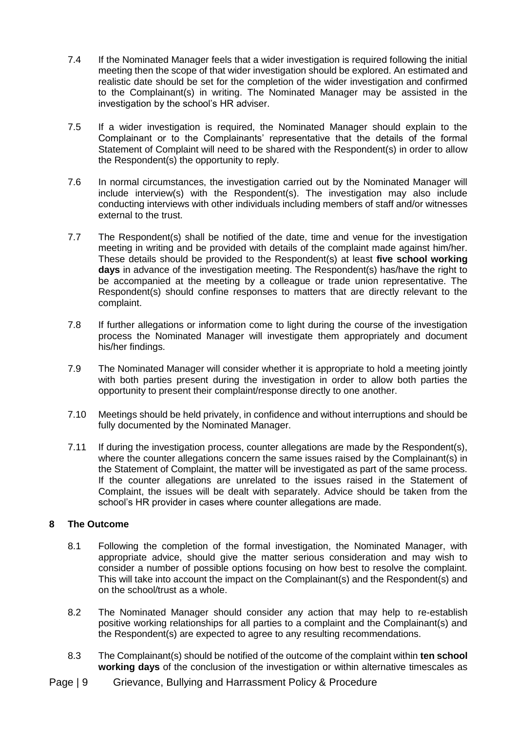- 7.4 If the Nominated Manager feels that a wider investigation is required following the initial meeting then the scope of that wider investigation should be explored. An estimated and realistic date should be set for the completion of the wider investigation and confirmed to the Complainant(s) in writing. The Nominated Manager may be assisted in the investigation by the school's HR adviser.
- 7.5 If a wider investigation is required, the Nominated Manager should explain to the Complainant or to the Complainants' representative that the details of the formal Statement of Complaint will need to be shared with the Respondent(s) in order to allow the Respondent(s) the opportunity to reply.
- 7.6 In normal circumstances, the investigation carried out by the Nominated Manager will include interview(s) with the Respondent(s). The investigation may also include conducting interviews with other individuals including members of staff and/or witnesses external to the trust.
- 7.7 The Respondent(s) shall be notified of the date, time and venue for the investigation meeting in writing and be provided with details of the complaint made against him/her. These details should be provided to the Respondent(s) at least **five school working days** in advance of the investigation meeting. The Respondent(s) has/have the right to be accompanied at the meeting by a colleague or trade union representative. The Respondent(s) should confine responses to matters that are directly relevant to the complaint.
- 7.8 If further allegations or information come to light during the course of the investigation process the Nominated Manager will investigate them appropriately and document his/her findings.
- 7.9 The Nominated Manager will consider whether it is appropriate to hold a meeting jointly with both parties present during the investigation in order to allow both parties the opportunity to present their complaint/response directly to one another.
- 7.10 Meetings should be held privately, in confidence and without interruptions and should be fully documented by the Nominated Manager.
- 7.11 If during the investigation process, counter allegations are made by the Respondent(s), where the counter allegations concern the same issues raised by the Complainant(s) in the Statement of Complaint, the matter will be investigated as part of the same process. If the counter allegations are unrelated to the issues raised in the Statement of Complaint, the issues will be dealt with separately. Advice should be taken from the school's HR provider in cases where counter allegations are made.

#### **8 The Outcome**

- 8.1 Following the completion of the formal investigation, the Nominated Manager, with appropriate advice, should give the matter serious consideration and may wish to consider a number of possible options focusing on how best to resolve the complaint. This will take into account the impact on the Complainant(s) and the Respondent(s) and on the school/trust as a whole.
- 8.2 The Nominated Manager should consider any action that may help to re-establish positive working relationships for all parties to a complaint and the Complainant(s) and the Respondent(s) are expected to agree to any resulting recommendations.
- 8.3 The Complainant(s) should be notified of the outcome of the complaint within **ten school working days** of the conclusion of the investigation or within alternative timescales as
- Page | 9 Grievance, Bullying and Harrassment Policy & Procedure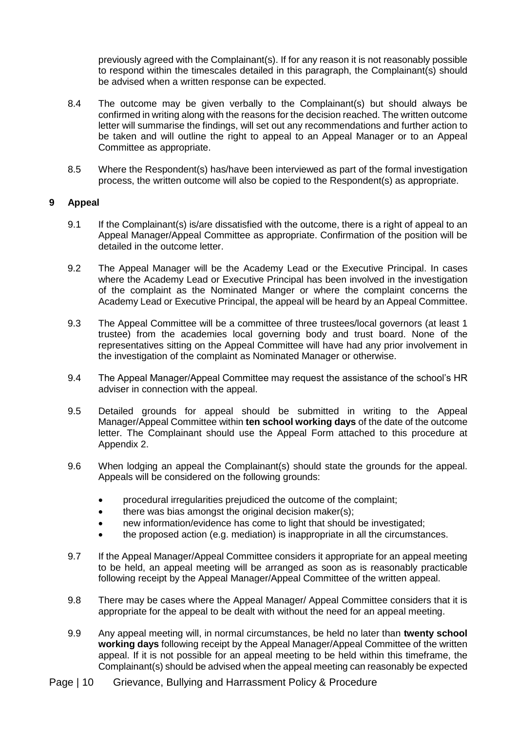previously agreed with the Complainant(s). If for any reason it is not reasonably possible to respond within the timescales detailed in this paragraph, the Complainant(s) should be advised when a written response can be expected.

- 8.4 The outcome may be given verbally to the Complainant(s) but should always be confirmed in writing along with the reasons for the decision reached. The written outcome letter will summarise the findings, will set out any recommendations and further action to be taken and will outline the right to appeal to an Appeal Manager or to an Appeal Committee as appropriate.
- 8.5 Where the Respondent(s) has/have been interviewed as part of the formal investigation process, the written outcome will also be copied to the Respondent(s) as appropriate.

#### **9 Appeal**

- 9.1 If the Complainant(s) is/are dissatisfied with the outcome, there is a right of appeal to an Appeal Manager/Appeal Committee as appropriate. Confirmation of the position will be detailed in the outcome letter.
- 9.2 The Appeal Manager will be the Academy Lead or the Executive Principal. In cases where the Academy Lead or Executive Principal has been involved in the investigation of the complaint as the Nominated Manger or where the complaint concerns the Academy Lead or Executive Principal, the appeal will be heard by an Appeal Committee.
- 9.3 The Appeal Committee will be a committee of three trustees/local governors (at least 1 trustee) from the academies local governing body and trust board. None of the representatives sitting on the Appeal Committee will have had any prior involvement in the investigation of the complaint as Nominated Manager or otherwise.
- 9.4 The Appeal Manager/Appeal Committee may request the assistance of the school's HR adviser in connection with the appeal.
- 9.5 Detailed grounds for appeal should be submitted in writing to the Appeal Manager/Appeal Committee within **ten school working days** of the date of the outcome letter. The Complainant should use the Appeal Form attached to this procedure at Appendix 2.
- 9.6 When lodging an appeal the Complainant(s) should state the grounds for the appeal. Appeals will be considered on the following grounds:
	- procedural irregularities prejudiced the outcome of the complaint;
	- there was bias amongst the original decision maker(s);
	- new information/evidence has come to light that should be investigated;
	- the proposed action (e.g. mediation) is inappropriate in all the circumstances.
- 9.7 If the Appeal Manager/Appeal Committee considers it appropriate for an appeal meeting to be held, an appeal meeting will be arranged as soon as is reasonably practicable following receipt by the Appeal Manager/Appeal Committee of the written appeal.
- 9.8 There may be cases where the Appeal Manager/ Appeal Committee considers that it is appropriate for the appeal to be dealt with without the need for an appeal meeting.
- 9.9 Any appeal meeting will, in normal circumstances, be held no later than **twenty school working days** following receipt by the Appeal Manager/Appeal Committee of the written appeal. If it is not possible for an appeal meeting to be held within this timeframe, the Complainant(s) should be advised when the appeal meeting can reasonably be expected
- Page | 10 Grievance, Bullying and Harrassment Policy & Procedure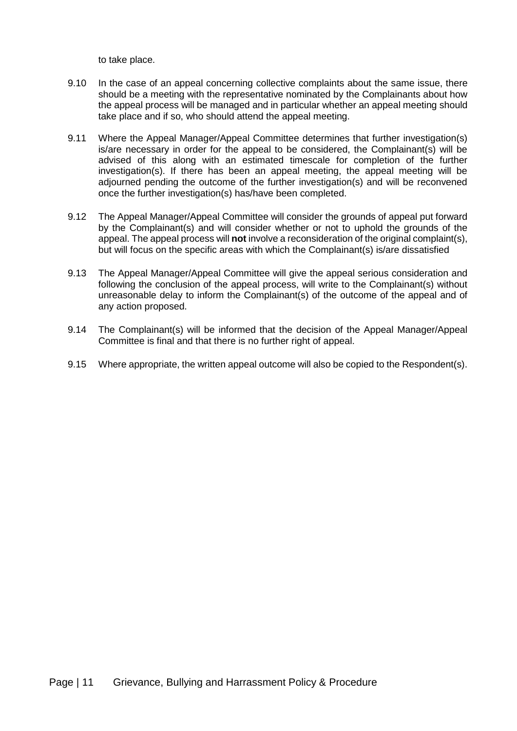to take place.

- 9.10 In the case of an appeal concerning collective complaints about the same issue, there should be a meeting with the representative nominated by the Complainants about how the appeal process will be managed and in particular whether an appeal meeting should take place and if so, who should attend the appeal meeting.
- 9.11 Where the Appeal Manager/Appeal Committee determines that further investigation(s) is/are necessary in order for the appeal to be considered, the Complainant(s) will be advised of this along with an estimated timescale for completion of the further investigation(s). If there has been an appeal meeting, the appeal meeting will be adjourned pending the outcome of the further investigation(s) and will be reconvened once the further investigation(s) has/have been completed.
- 9.12 The Appeal Manager/Appeal Committee will consider the grounds of appeal put forward by the Complainant(s) and will consider whether or not to uphold the grounds of the appeal. The appeal process will **not** involve a reconsideration of the original complaint(s), but will focus on the specific areas with which the Complainant(s) is/are dissatisfied
- 9.13 The Appeal Manager/Appeal Committee will give the appeal serious consideration and following the conclusion of the appeal process, will write to the Complainant(s) without unreasonable delay to inform the Complainant(s) of the outcome of the appeal and of any action proposed.
- 9.14 The Complainant(s) will be informed that the decision of the Appeal Manager/Appeal Committee is final and that there is no further right of appeal.
- 9.15 Where appropriate, the written appeal outcome will also be copied to the Respondent(s).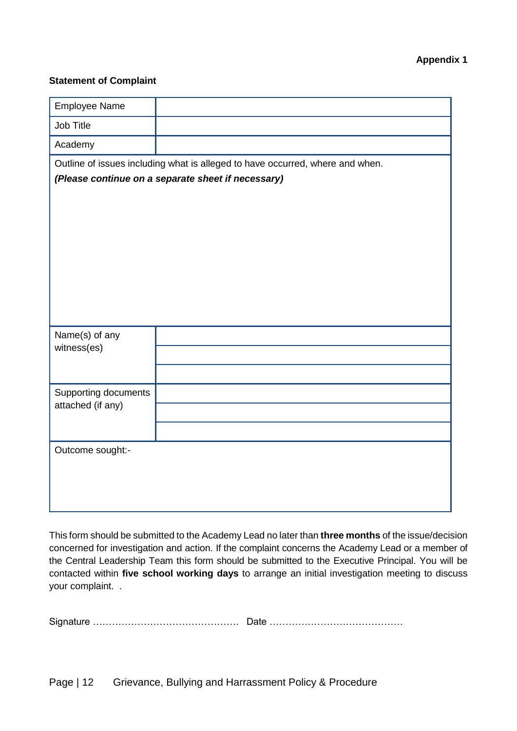### **Appendix 1**

#### **Statement of Complaint**

| Employee Name                                      |                                                                               |  |
|----------------------------------------------------|-------------------------------------------------------------------------------|--|
| Job Title                                          |                                                                               |  |
| Academy                                            |                                                                               |  |
|                                                    | Outline of issues including what is alleged to have occurred, where and when. |  |
| (Please continue on a separate sheet if necessary) |                                                                               |  |
|                                                    |                                                                               |  |
|                                                    |                                                                               |  |
|                                                    |                                                                               |  |
|                                                    |                                                                               |  |
|                                                    |                                                                               |  |
|                                                    |                                                                               |  |
|                                                    |                                                                               |  |
| Name(s) of any                                     |                                                                               |  |
| witness(es)                                        |                                                                               |  |
|                                                    |                                                                               |  |
| Supporting documents<br>attached (if any)          |                                                                               |  |
|                                                    |                                                                               |  |
|                                                    |                                                                               |  |
| Outcome sought:-                                   |                                                                               |  |
|                                                    |                                                                               |  |
|                                                    |                                                                               |  |
|                                                    |                                                                               |  |

This form should be submitted to the Academy Lead no later than **three months** of the issue/decision concerned for investigation and action. If the complaint concerns the Academy Lead or a member of the Central Leadership Team this form should be submitted to the Executive Principal. You will be contacted within **five school working days** to arrange an initial investigation meeting to discuss your complaint. .

Signature ………………………………………. Date ……………………………………